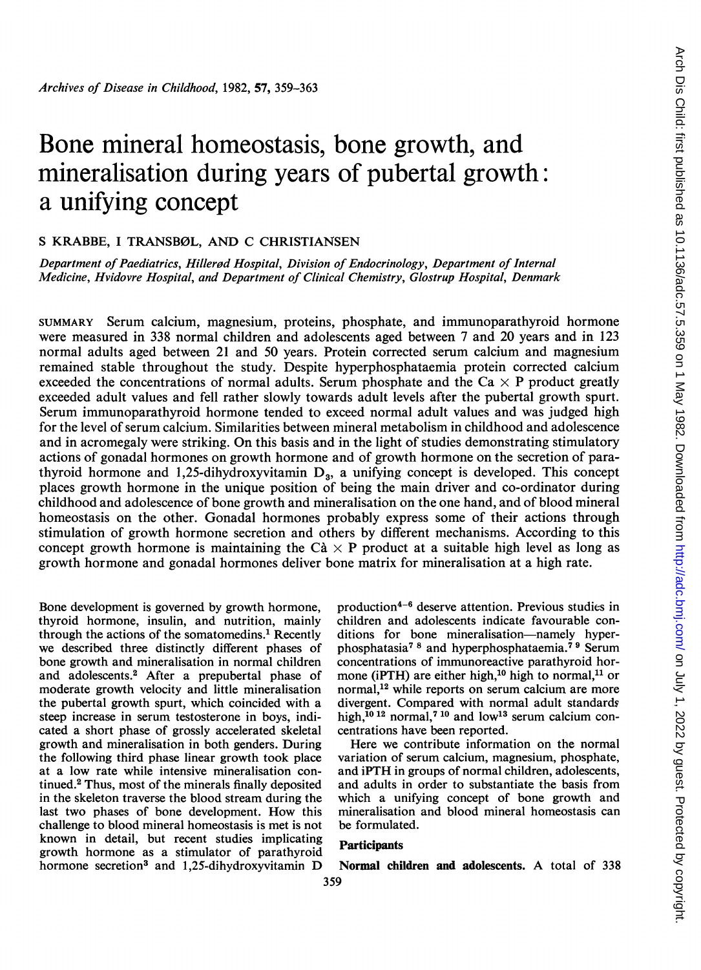# Bone mineral homeostasis, bone growth, and mineralisation during years of pubertal growth: a unifying concept

# S KRABBE, I TRANSBØL, AND C CHRISTIANSEN

Department of Paediatrics, Hillerød Hospital, Division of Endocrinology, Department of Internal Medicine, Hvidovre Hospital, and Department of Clinical Chemistry, Glostrup Hospital, Denmark

SUMMARY Serum calcium, magnesium, proteins, phosphate, and immunoparathyroid hormone were measured in 338 normal children and adolescents aged between 7 and 20 years and in 123 normal adults aged between 21 and 50 years. Protein corrected serum calcium and magnesium remained stable throughout the study. Despite hyperphosphataemia protein corrected calcium exceeded the concentrations of normal adults. Serum phosphate and the Ca  $\times$  P product greatly exceeded adult values and fell rather slowly towards adult levels after the pubertal growth spurt. Serum immunoparathyroid hormone tended to exceed normal adult values and was judged high for the level of serum calcium. Similarities between mineral metabolism in childhood and adolescence and in acromegaly were striking. On this basis and in the light of studies demonstrating stimulatory actions of gonadal hormones on growth hormone and of growth hormone on the secretion of parathyroid hormone and 1,25-dihydroxyvitamin  $D_3$ , a unifying concept is developed. This concept places growth hormone in the unique position of being the main driver and co-ordinator during childhood and adolescence of bone growth and mineralisation on the one hand, and of blood mineral homeostasis on the other. Gonadal hormones probably express some of their actions through stimulation of growth hormone secretion and others by different mechanisms. According to this concept growth hormone is maintaining the C $\dot{a} \times P$  product at a suitable high level as long as growth hormone and gonadal hormones deliver bone matrix for mineralisation at a high rate.

Bone development is governed by growth hormone, thyroid hormone, insulin, and nutrition, mainly through the actions of the somatomedins.<sup>1</sup> Recently we described three distinctly different phases of bone growth and mineralisation in normal children and adolescents.2 After a prepubertal phase of moderate growth velocity and little mineralisation the pubertal growth spurt, which coincided with a steep increase in serum testosterone in boys, indicated a short phase of grossly accelerated skeletal growth and mineralisation in both genders. During the following third phase linear growth took place at a low rate while intensive mineralisation continued.2 Thus, most of the minerals finally deposited in the skeleton traverse the blood stream during the last two phases of bone development. How this challenge to blood mineral homeostasis is met is not known in detail, but recent studies implicating growth hormone as a stimulator of parathyroid hormone secretion3 and 1,25-dihydroxyvitamin D production4-6 deserve attention. Previous studies in children and adolescents indicate favourable conditions for bone mineralisation-namely hyperphosphatasia7 <sup>8</sup> and hyperphosphataemia.7 <sup>9</sup> Serum concentrations of immunoreactive parathyroid hormone (iPTH) are either high,<sup>10</sup> high to normal,<sup>11</sup> or normal,<sup>12</sup> while reports on serum calcium are more divergent. Compared with normal adult standards high, $^{10}$ <sup>12</sup> normal,<sup>7</sup><sup>10</sup> and low<sup>13</sup> serum calcium concentrations have been reported.

Here we contribute information on the normal variation of serum calcium, magnesium, phosphate, and iPTH in groups of normal children, adolescents, and adults in order to substantiate the basis from which a unifying concept of bone growth and mineralisation and blood mineral homeostasis can be formulated.

# **Participants**

Normal children and adolescents. A total of <sup>338</sup> 359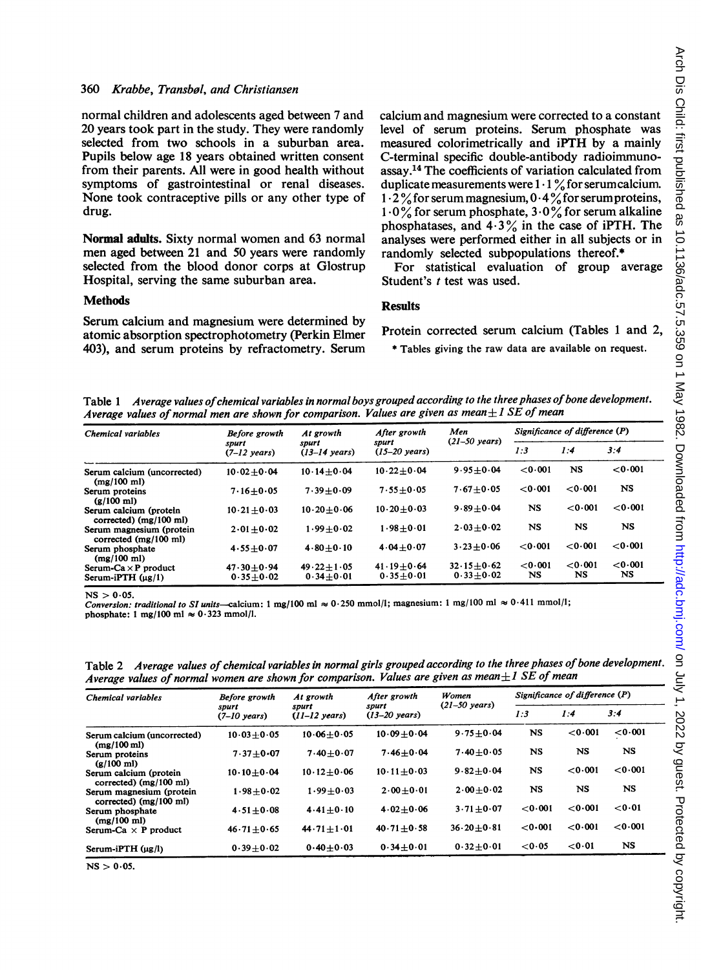## 360 Krabbe, Transbol, and Christiansen

normal children and adolescents aged between 7 and 20 years took part in the study. They were randomly selected from two schools in a suburban area. Pupils below age 18 years obtained written consent from their parents. All were in good health without symptoms of gastrointestinal or renal diseases. None took contraceptive pills or any other type of drug.

Normal adults. Sixty normal women and 63 normal men aged between 21 and 50 years were randomly selected from the blood donor corps at Glostrup Hospital, serving the same suburban area.

#### Methods

Serum calcium and magnesium were determined by atomic absorption spectrophotometry (Perkin Elmer 403), and serum proteins by refractometry. Serum calcium and magnesium were corrected to a constant level of serum proteins. Serum phosphate was measured colorimetrically and iPTH by a mainly C-terminal specific double-antibody radioimmunoassay.<sup>14</sup> The coefficients of variation calculated from duplicate measurements were  $1 \cdot 1$  % for serum calcium.  $1.2\%$  for serum magnesium,  $0.4\%$  for serum proteins,  $1.0\%$  for serum phosphate,  $3.0\%$  for serum alkaline phosphatases, and  $4.3\%$  in the case of iPTH. The analyses were performed either in all subjects or in randomly selected subpopulations thereof.\*

For statistical evaluation of group average Student's *t* test was used.

## **Results**

Protein corrected serum calcium (Tables <sup>1</sup> and 2,

\* Tables giving the raw data are available on request.

Table 1 Average values of chemical variables in normal boys grouped according to the three phases of bone development. Average values of normal men are shown for comparison. Values are given as mean $\pm 1$  SE of mean

| Chemical variables                                          | Before growth<br>spurt<br>$(7-12 \text{ years})$ | At growth<br>spurt<br>$(13-14 \text{ years})$ | After growth<br>spurt<br>$(15-20 \text{ years})$ | Men<br>$(21-50 \text{ years})$ | Significance of difference (P) |           |           |
|-------------------------------------------------------------|--------------------------------------------------|-----------------------------------------------|--------------------------------------------------|--------------------------------|--------------------------------|-----------|-----------|
|                                                             |                                                  |                                               |                                                  |                                | 1:3                            | 1:4       | 3:4       |
| Serum calcium (uncorrected)<br>$(mg/100 \text{ m}$          | $10.02 + 0.04$                                   | $10.14 + 0.04$                                | $10.22 + 0.04$                                   | $9.95 + 0.04$                  | 0.001                          | <b>NS</b> | 0.001     |
| Serum proteins<br>$(g/100 \text{ ml})$                      | $7.16 + 0.05$                                    | $7.39 + 0.09$                                 | $7.55 + 0.05$                                    | $7.67 + 0.05$                  | < 0.001                        | 0.001     | NS        |
| Serum calcium (protein<br>corrected) $(mg/100 \text{ ml})$  | $10.21 + 0.03$                                   | $10.20 + 0.06$                                | $10.20 + 0.03$                                   | $9.89 + 0.04$                  | <b>NS</b>                      | 0.001     | 0.001     |
| Serum magnesium (protein<br>corrected $(mg/100 \text{ ml})$ | $2.01 + 0.02$                                    | $1.99 + 0.02$                                 | $1.98 + 0.01$                                    | $2.03 + 0.02$                  | <b>NS</b>                      | <b>NS</b> | <b>NS</b> |
| Serum phosphate<br>$(mg/100 \text{ ml})$                    | $4.55 + 0.07$                                    | $4.80 + 0.10$                                 | $4.04 + 0.07$                                    | $3.23 + 0.06$                  | < 0.001                        | 0.001     | 0.001     |
| Serum-Ca $\times$ P product                                 | $47.30 + 0.94$                                   | $49.22 \pm 1.05$                              | $41.19 + 0.64$                                   | $32.15 + 0.62$                 | < 0.001                        | 0.001     | 0.001     |
| $Serm-iPTH (µg/1)$                                          | $0.35 + 0.02$                                    | $0.34 + 0.01$                                 | $0.35 + 0.01$                                    | $0.33 + 0.02$                  | <b>NS</b>                      | NS        | <b>NS</b> |

 $NS > 0.05$ .

Conversion: traditional to SI units-calcium: 1 mg/100 ml  $\approx 0.250$  mmol/l; magnesium: 1 mg/100 ml  $\approx 0.411$  mmol/l; phosphate: 1 mg/100 ml  $\approx 0.323$  mmol/l.

Table 2 Average values of chemical variables in normal girls grouped according to the three phases of bone development. Average values of normal women are shown for comparison. Values are given as mean $\pm 1$  SE of mean

| Chemical variables                                           | Before growth<br>spurt<br>$(7-10 \text{ years})$ | At growth<br>spurt<br>$(11-12 \text{ years})$ | After growth<br>spurt<br>$(13 - 20 \text{ years})$ | Women<br>$(21-50 \text{ years})$ | Significance of difference $(P)$ |           |           |
|--------------------------------------------------------------|--------------------------------------------------|-----------------------------------------------|----------------------------------------------------|----------------------------------|----------------------------------|-----------|-----------|
|                                                              |                                                  |                                               |                                                    |                                  | 1:3                              | 1:4       | 3:4       |
| Serum calcium (uncorrected)<br>$(mg/100 \text{ ml})$         | $10.03 + 0.05$                                   | $10.06 + 0.05$                                | $10.09 + 0.04$                                     | $9.75 + 0.04$                    | <b>NS</b>                        | 0.001     | 0.001     |
| Serum proteins<br>$(g/100 \text{ ml})$                       | $7.37 + 0.07$                                    | $7.40 + 0.07$                                 | $7.46 + 0.04$                                      | $7.40 + 0.05$                    | <b>NS</b>                        | NS        | <b>NS</b> |
| Serum calcium (protein<br>corrected) $(mg/100 \text{ ml})$   | $10.10 + 0.04$                                   | $10.12 + 0.06$                                | $10.11 + 0.03$                                     | $9.82 + 0.04$                    | <b>NS</b>                        | 0.001     | 0.001     |
| Serum magnesium (protein<br>corrected) $(mg/100 \text{ ml})$ | $1.98 + 0.02$                                    | $1.99 + 0.03$                                 | $2.00 + 0.01$                                      | $2.00 + 0.02$                    | <b>NS</b>                        | <b>NS</b> | NS        |
| Serum phosphate<br>$(mg/100 \text{ ml})$                     | $4.51 + 0.08$                                    | $4.41 + 0.10$                                 | $4.02 + 0.06$                                      | $3.71 + 0.07$                    | 0.001                            | 0.001     | 0.01      |
| Serum-Ca $\times$ P product                                  | $46.71 + 0.65$                                   | $44.71 + 1.01$                                | $40.71 + 0.58$                                     | $36.20 + 0.81$                   | 0.001                            | 0.001     | 0.001     |
| $Serum-iPTH (µg/l)$                                          | $0.39 + 0.02$                                    | $0.40 + 0.03$                                 | $0.34 + 0.01$                                      | $0.32 + 0.01$                    | 0.05                             | < 0.01    | <b>NS</b> |

 $NS > 0.05$ .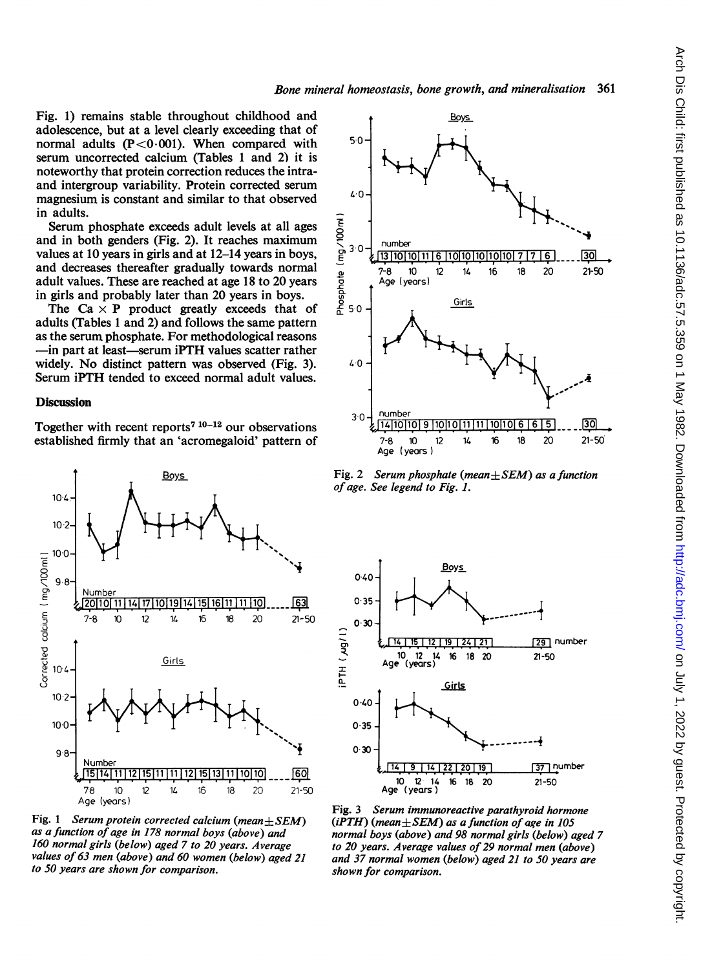Fig. 1) remains stable throughout childhood and  $\uparrow$ adolescence, but at a level clearly exceeding that of normal adults  $(P<0.001)$ . When compared with  $50$ serum uncorrected calcium (Tables <sup>1</sup> and 2) it is noteworthy that protein correction reduces the intra-<br>and intergroup variability. Protein corrected serum  $\frac{1}{4}$  magnesium is constant and similar to that observed  $\frac{40}{4}$ in adults.

Serum phosphate exceeds adult levels at all ages<br>Serum phosphate exceeds adult levels at all ages<br>lues at 10 years in girls and at 12–14 years in boys,<br>d decreases thereafter gradually towards normal<br>ult values. These are and in both genders (Fig. 2). It reaches maximum  $\frac{Q}{2}$  number values at 10 years in girls and at 12–14 years in boys,  $\frac{1}{2}$   $\frac{30}{13}$   $\frac{1}{10}$   $\frac{1}{10}$   $\frac{1}{10}$   $\frac{1}{0}$   $\frac{1}{0}$   $\frac{1}{0}$   $\frac{1}{7}$   $\frac{1}{7}$   $\frac{1}{10}$   $\frac{1}{30}$ adult values. These are reached at age 18 to 20 years  $\frac{1}{2}$ , Age (years) in girls and probably later than 20 years in boys.<br>The Ca  $\times$  P product greatly exceeds that of  $\frac{6}{6}$  50

The Ca  $\times$  P product greatly exceeds that of  $\frac{8}{6}$  50 -  $\frac{6 \text{irls}}{10}$ adults (Tables 1 and 2) and follows the same pattern as the serum phosphate. For methodological reasons -in part at least-serum iPTH values scatter rather widely. No distinct pattern was observed (Fig. 3).  $40$ Serum iPTH tended to exceed normal adult values.

# **Discussion**

Together with recent reports<sup>7 10-12</sup> our observations established firmly that an 'acromegaloid' pattern of



Fig. 1 Serum protein corrected calcium (mean $\pm$ SEM) as a function of age in 178 normal boys (above) and 160 normal girls (below) aged 7 to 20 years. Average values of 63 men (above) and 60 women (below) aged 21 to 50 years are shown for comparison.



Fig. 2 Serum phosphate (mean $\pm$ SEM) as a function of age. See legend to Fig. 1.



Fig. 3 Serum immunoreactive parathyroid hormone (iPTH) (mean $\pm$ SEM) as a function of age in 105 normal boys (above) and 98 normal girls (below) aged 7 to 20 years. Average values of 29 normal men (above) and 37 normal women (below) aged 21 to 50 years are shown for comparison.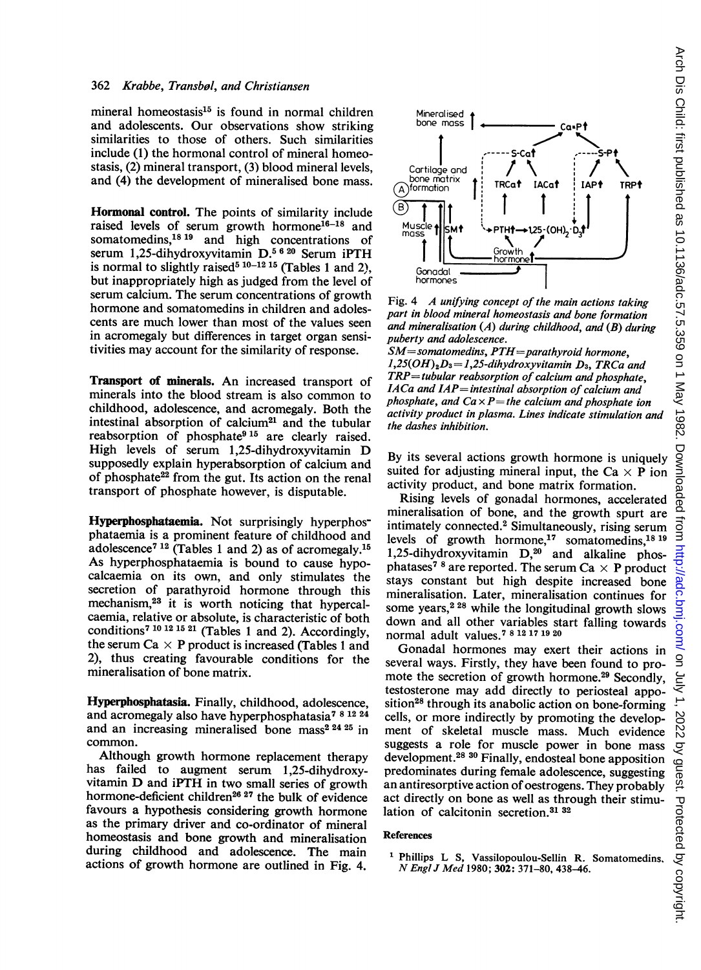## 362 Krabbe, Transbol, and Christiansen

mineral homeostasis $15$  is found in normal children and adolescents. Our observations show striking similarities to those of others. Such similarities include (1) the hormonal control of mineral homeostasis, (2) mineral transport, (3) blood mineral levels, and (4) the development of mineralised bone mass.

Hormonal control. The points of similarity include raised levels of serum growth hormone<sup>16-18</sup> and somatomedins,<sup>18</sup> 19 and high concentrations of serum 1,25-dihydroxyvitamin D.<sup>5 6 20</sup> Serum iPTH is normal to slightly raised<sup>5 10-12 15</sup> (Tables 1 and 2), but inappropriately high as judged from the level of serum calcium. The serum concentrations of growth hormone and somatomedins in children and adolescents are much lower than most of the values seen in acromegaly but differences in target organ sensitivities may account for the similarity of response.

Transport of minerals. An increased transport of minerals into the blood stream is also common to childhood, adolescence, and acromegaly. Both the intestinal absorption of calcium<sup>21</sup> and the tubular reabsorption of phosphate<sup>915</sup> are clearly raised. High levels of serum 1,25-dihydroxyvitamin D supposedly explain hyperabsorption of calcium and of phosphate<sup>22</sup> from the gut. Its action on the renal transport of phosphate however, is disputable.

Hyperphosphataemia. Not surprisingly hyperphosphataemia is a prominent feature of childhood and adolescence7 <sup>12</sup> (Tables <sup>1</sup> and 2) as of acromegaly.15 As hyperphosphataemia is bound to cause hypocalcaemia on its own, and only stimulates the secretion of parathyroid hormone through this mechanism,23 it is worth noticing that hypercalcaemia, relative or absolute, is characteristic of both conditions7 1012 <sup>15</sup> <sup>21</sup> (Tables <sup>1</sup> and 2). Accordingly, the serum Ca  $\times$  P product is increased (Tables 1 and 2), thus creating favourable conditions for the mineralisation of bone matrix.

Hyperphosphatasia. Finally, childhood, adolescence, and acromegaly also have hyperphosphatasia<sup>781224</sup> and an increasing mineralised bone mass<sup>2 24 25</sup> in common.

Although growth hormone replacement therapy has failed to augment serum 1,25-dihydroxyvitamin D and iPTH in two small series of growth hormone-deficient children<sup>26</sup><sup>27</sup> the bulk of evidence favours a hypothesis considering growth hormone as the primary driver and co-ordinator of mineral homeostasis and bone growth and mineralisation during childhood and adolescence. The main actions of growth hormone are outlined in Fig. 4.



Fig. 4 A unifying concept of the main actions taking part in blood mineral homeostasis and bone formation and mineralisation  $(A)$  during childhood, and  $(B)$  during puberty and adolescence.

 $SM$ =somatomedins,  $PTH$ =parathyroid hormone,  $1,25(OH)<sub>2</sub>D<sub>3</sub>=1,25-dihydroxyvitamin D<sub>3</sub>, TRCa and$  $TRP =$  tubular reabsorption of calcium and phosphate, IACa and IAP= intestinal absorption of calcium and phosphate, and  $Ca \times P$  = the calcium and phosphate ion activity product in plasma. Lines indicate stimulation and the dashes inhibition.

By its several actions growth hormone is uniquely suited for adjusting mineral input, the Ca  $\times$  P ion activity product, and bone matrix formation.

Rising levels of gonadal hormones, accelerated mineralisation of bone, and the growth spurt are intimately connected.2 Simultaneously, rising serum levels of growth hormone,<sup>17</sup> somatomedins,<sup>1819</sup> 1,25-dihydroxyvitamin  $D,^{20}$  and alkaline phosphatases<sup>78</sup> are reported. The serum Ca  $\times$  P product stays constant but high despite increased bone mineralisation. Later, mineralisation continues for some years, $2^{28}$  while the longitudinal growth slows down and all other variables start falling towards normal adult values.7 8121719 <sup>20</sup>

Gonadal hormones may exert their actions in several ways. Firstly, they have been found to promote the secretion of growth hormone.<sup>29</sup> Secondly, testosterone may add directly to periosteal apposition<sup>28</sup> through its anabolic action on bone-forming cells, or more indirectly by promoting the development of skeletal muscle mass. Much evidence suggests a role for muscle power in bone mass development.28 <sup>30</sup> Finally, endosteal bone apposition predominates during female adolescence, suggesting an antiresorptive action of oestrogens. They probably act directly on bone as well as through their stimulation of calcitonin secretion.<sup>31</sup> <sup>32</sup>

## References

<sup>1</sup> Phillips L S, Vassilopoulou-Sellin R. Somatomedins. N Engl <sup>J</sup> Med 1980; 302: 371-80, 438-46.